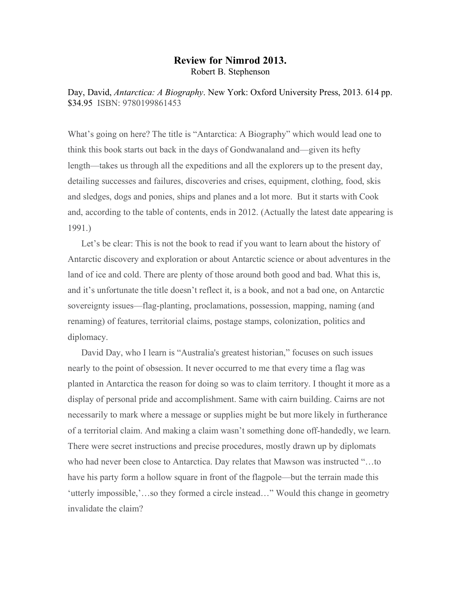## **Review for Nimrod 2013.** Robert B. Stephenson

Day, David, *Antarctica: A Biography*. New York: Oxford University Press, 2013. 614 pp. \$34.95 ISBN: 9780199861453

What's going on here? The title is "Antarctica: A Biography" which would lead one to think this book starts out back in the days of Gondwanaland and—given its hefty length—takes us through all the expeditions and all the explorers up to the present day, detailing successes and failures, discoveries and crises, equipment, clothing, food, skis and sledges, dogs and ponies, ships and planes and a lot more. But it starts with Cook and, according to the table of contents, ends in 2012. (Actually the latest date appearing is 1991.)

Let's be clear: This is not the book to read if you want to learn about the history of Antarctic discovery and exploration or about Antarctic science or about adventures in the land of ice and cold. There are plenty of those around both good and bad. What this is, and it's unfortunate the title doesn't reflect it, is a book, and not a bad one, on Antarctic sovereignty issues—flag-planting, proclamations, possession, mapping, naming (and renaming) of features, territorial claims, postage stamps, colonization, politics and diplomacy.

David Day, who I learn is "Australia's greatest historian," focuses on such issues nearly to the point of obsession. It never occurred to me that every time a flag was planted in Antarctica the reason for doing so was to claim territory. I thought it more as a display of personal pride and accomplishment. Same with cairn building. Cairns are not necessarily to mark where a message or supplies might be but more likely in furtherance of a territorial claim. And making a claim wasn't something done off-handedly, we learn. There were secret instructions and precise procedures, mostly drawn up by diplomats who had never been close to Antarctica. Day relates that Mawson was instructed "…to have his party form a hollow square in front of the flagpole—but the terrain made this 'utterly impossible,'…so they formed a circle instead…" Would this change in geometry invalidate the claim?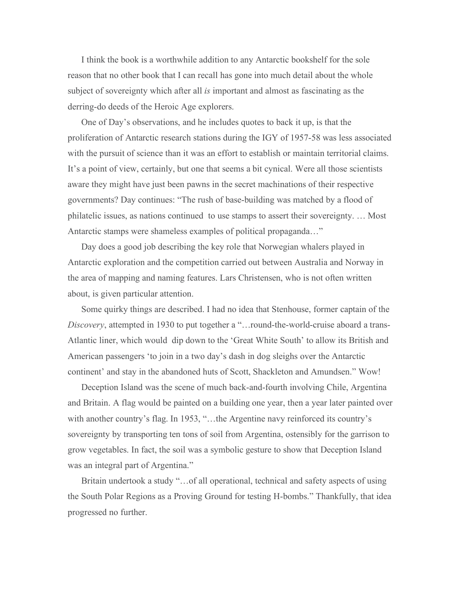I think the book is a worthwhile addition to any Antarctic bookshelf for the sole reason that no other book that I can recall has gone into much detail about the whole subject of sovereignty which after all *is* important and almost as fascinating as the derring-do deeds of the Heroic Age explorers.

One of Day's observations, and he includes quotes to back it up, is that the proliferation of Antarctic research stations during the IGY of 1957-58 was less associated with the pursuit of science than it was an effort to establish or maintain territorial claims. It's a point of view, certainly, but one that seems a bit cynical. Were all those scientists aware they might have just been pawns in the secret machinations of their respective governments? Day continues: "The rush of base-building was matched by a flood of philatelic issues, as nations continued to use stamps to assert their sovereignty. … Most Antarctic stamps were shameless examples of political propaganda…"

Day does a good job describing the key role that Norwegian whalers played in Antarctic exploration and the competition carried out between Australia and Norway in the area of mapping and naming features. Lars Christensen, who is not often written about, is given particular attention.

Some quirky things are described. I had no idea that Stenhouse, former captain of the *Discovery*, attempted in 1930 to put together a "…round-the-world-cruise aboard a trans-Atlantic liner, which would dip down to the 'Great White South' to allow its British and American passengers 'to join in a two day's dash in dog sleighs over the Antarctic continent' and stay in the abandoned huts of Scott, Shackleton and Amundsen." Wow!

Deception Island was the scene of much back-and-fourth involving Chile, Argentina and Britain. A flag would be painted on a building one year, then a year later painted over with another country's flag. In 1953, "...the Argentine navy reinforced its country's sovereignty by transporting ten tons of soil from Argentina, ostensibly for the garrison to grow vegetables. In fact, the soil was a symbolic gesture to show that Deception Island was an integral part of Argentina."

Britain undertook a study "…of all operational, technical and safety aspects of using the South Polar Regions as a Proving Ground for testing H-bombs." Thankfully, that idea progressed no further.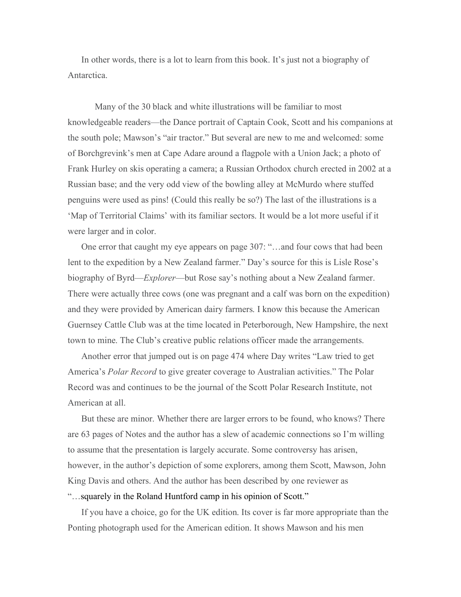In other words, there is a lot to learn from this book. It's just not a biography of Antarctica.

Many of the 30 black and white illustrations will be familiar to most knowledgeable readers—the Dance portrait of Captain Cook, Scott and his companions at the south pole; Mawson's "air tractor." But several are new to me and welcomed: some of Borchgrevink's men at Cape Adare around a flagpole with a Union Jack; a photo of Frank Hurley on skis operating a camera; a Russian Orthodox church erected in 2002 at a Russian base; and the very odd view of the bowling alley at McMurdo where stuffed penguins were used as pins! (Could this really be so?) The last of the illustrations is a 'Map of Territorial Claims' with its familiar sectors. It would be a lot more useful if it were larger and in color.

One error that caught my eye appears on page 307: "…and four cows that had been lent to the expedition by a New Zealand farmer." Day's source for this is Lisle Rose's biography of Byrd—*Explorer*—but Rose say's nothing about a New Zealand farmer. There were actually three cows (one was pregnant and a calf was born on the expedition) and they were provided by American dairy farmers. I know this because the American Guernsey Cattle Club was at the time located in Peterborough, New Hampshire, the next town to mine. The Club's creative public relations officer made the arrangements.

Another error that jumped out is on page 474 where Day writes "Law tried to get America's *Polar Record* to give greater coverage to Australian activities." The Polar Record was and continues to be the journal of the Scott Polar Research Institute, not American at all.

But these are minor. Whether there are larger errors to be found, who knows? There are 63 pages of Notes and the author has a slew of academic connections so I'm willing to assume that the presentation is largely accurate. Some controversy has arisen, however, in the author's depiction of some explorers, among them Scott, Mawson, John King Davis and others. And the author has been described by one reviewer as

## "…squarely in the Roland Huntford camp in his opinion of Scott."

If you have a choice, go for the UK edition. Its cover is far more appropriate than the Ponting photograph used for the American edition. It shows Mawson and his men